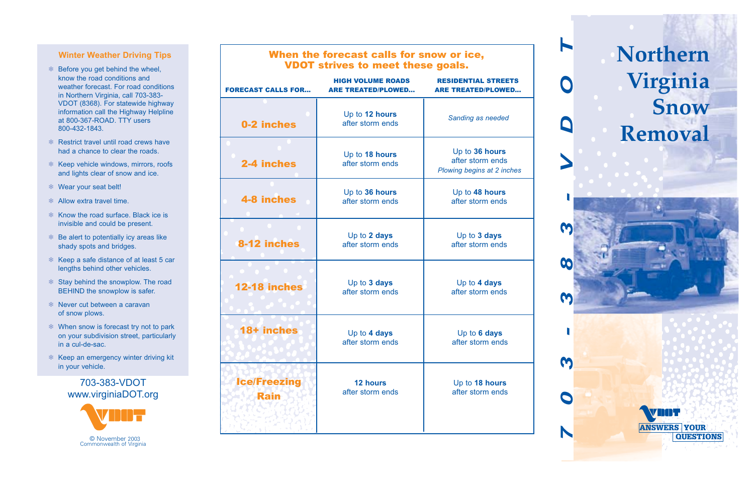## **Winter Weather Driving Tips**

- ❄ Before you get behind the wheel, know the road conditions and weather forecast. For road conditions in Northern Virginia, call 703-383- VDOT (8368). For statewide highway information call the Highway Helpline at 800-367-ROAD. TTY users 800-432-1843.
- ❄ Restrict travel until road crews have had a chance to clear the roads.
- ❄ Keep vehicle windows, mirrors, roofs and lights clear of snow and ice.
- ❄ Wear your seat belt!
- ❄ Allow extra travel time.
- ❄ Know the road surface. Black ice is invisible and could be present.
- ❄ Be alert to potentially icy areas like shady spots and bridges.
- ❄ Keep a safe distance of at least 5 car lengths behind other vehicles.
- ❄ Stay behind the snowplow. The road BEHIND the snowplow is safer.
- ❄ Never cut between a caravan of snow plows.
- ❄ When snow is forecast try not to park on your subdivision street, particularly in a cul-de-sac.
- ❄ Keep an emergency winter driving kit in your vehicle.

# 703-383-VDOT www.virginiaDOT.org



## When the forecast calls for snow or ice, VDOT strives to meet these goals.

| <b>FORECAST CALLS FOR</b>   | <b>HIGH VOLUME ROADS</b><br><b>ARE TREATED/PLOWED</b> | <b>RESIDENTIAL STREETS</b><br><b>ARE TREATED/PLOWED</b>          |
|-----------------------------|-------------------------------------------------------|------------------------------------------------------------------|
| 0-2 inches                  | Up to 12 hours<br>after storm ends                    | Sanding as needed                                                |
| 2-4 inches                  | Up to 18 hours<br>after storm ends                    | Up to 36 hours<br>after storm ends<br>Plowing begins at 2 inches |
| <b>4-8 inches</b>           | Up to 36 hours<br>after storm ends                    | Up to 48 hours<br>after storm ends                               |
| 8-12 inches                 | Up to 2 days<br>after storm ends                      | Up to 3 days<br>after storm ends                                 |
| <b>12-18 inches</b>         | Up to 3 days<br>after storm ends                      | Up to 4 days<br>after storm ends                                 |
| 18+ inches                  | Up to 4 days<br>after storm ends                      | Up to 6 days<br>after storm ends                                 |
| <b>Ice/Freezing</b><br>Rain | 12 hours<br>after storm ends                          | Up to 18 hours<br>after storm ends                               |

**Northern Virginia Snow Removal** 

ANSWERS YOUR

**QUESTIONS** 

*703-383-VDOT*

00

M

M

 $\boldsymbol{\alpha}$